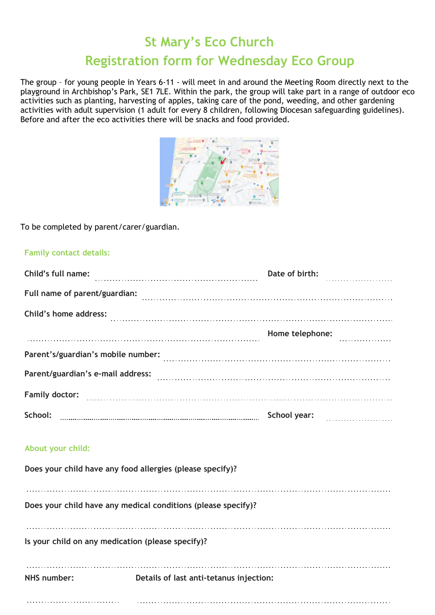## **St Mary's Eco Church**

# **Registration form for Wednesday Eco Group**

The group – for young people in Years 6-11 - will meet in and around the Meeting Room directly next to the playground in Archbishop's Park, SE1 7LE. Within the park, the group will take part in a range of outdoor eco activities such as planting, harvesting of apples, taking care of the pond, weeding, and other gardening activities with adult supervision (1 adult for every 8 children, following Diocesan safeguarding guidelines). Before and after the eco activities there will be snacks and food provided.



### To be completed by parent/carer/guardian.

### **Family contact details:**

| Child's full name:    |                                                               | Date of birth:                                                                                                                                      |   |
|-----------------------|---------------------------------------------------------------|-----------------------------------------------------------------------------------------------------------------------------------------------------|---|
|                       |                                                               |                                                                                                                                                     |   |
| Child's home address: |                                                               |                                                                                                                                                     |   |
|                       |                                                               | Home telephone:                                                                                                                                     | . |
|                       |                                                               | Parent's/guardian's mobile number:<br>and the continuum continuum continuum continuum continuum continuum continuum continuum continuum continuum c |   |
|                       |                                                               |                                                                                                                                                     |   |
|                       |                                                               | Family doctor: www.communications.com/www.communications.com/www.communications.com                                                                 |   |
|                       |                                                               | School: www.communication.communication.com/school year: www.communication.com/school:                                                              |   |
| About your child:     |                                                               |                                                                                                                                                     |   |
|                       | Does your child have any food allergies (please specify)?     |                                                                                                                                                     |   |
|                       |                                                               |                                                                                                                                                     |   |
|                       | Does your child have any medical conditions (please specify)? |                                                                                                                                                     |   |
|                       | Is your child on any medication (please specify)?             |                                                                                                                                                     |   |
| NHS number:           | Details of last anti-tetanus injection:                       |                                                                                                                                                     |   |
|                       |                                                               |                                                                                                                                                     |   |